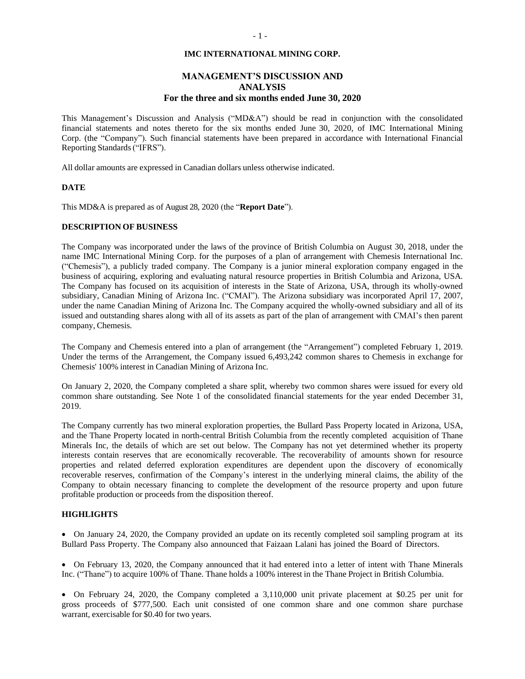#### **IMC INTERNATIONAL MINING CORP.**

# **MANAGEMENT'S DISCUSSION AND ANALYSIS For the three and six months ended June 30, 2020**

This Management's Discussion and Analysis ("MD&A") should be read in conjunction with the consolidated financial statements and notes thereto for the six months ended June 30, 2020, of IMC International Mining Corp. (the "Company"). Such financial statements have been prepared in accordance with International Financial Reporting Standards("IFRS").

All dollar amounts are expressed in Canadian dollars unless otherwise indicated.

### **DATE**

This MD&A is prepared as of August 28, 2020 (the "**Report Date**").

### **DESCRIPTION OF BUSINESS**

The Company was incorporated under the laws of the province of British Columbia on August 30, 2018, under the name IMC International Mining Corp. for the purposes of a plan of arrangement with Chemesis International Inc. ("Chemesis"), a publicly traded company. The Company is a junior mineral exploration company engaged in the business of acquiring, exploring and evaluating natural resource properties in British Columbia and Arizona, USA. The Company has focused on its acquisition of interests in the State of Arizona, USA, through its wholly-owned subsidiary, Canadian Mining of Arizona Inc. ("CMAI"). The Arizona subsidiary was incorporated April 17, 2007, under the name Canadian Mining of Arizona Inc. The Company acquired the wholly-owned subsidiary and all of its issued and outstanding shares along with all of its assets as part of the plan of arrangement with CMAI's then parent company, Chemesis.

The Company and Chemesis entered into a plan of arrangement (the "Arrangement") completed February 1, 2019. Under the terms of the Arrangement, the Company issued 6,493,242 common shares to Chemesis in exchange for Chemesis' 100% interest in Canadian Mining of Arizona Inc.

On January 2, 2020, the Company completed a share split, whereby two common shares were issued for every old common share outstanding. See Note 1 of the consolidated financial statements for the year ended December 31, 2019.

The Company currently has two mineral exploration properties, the Bullard Pass Property located in Arizona, USA, and the Thane Property located in north-central British Columbia from the recently completed acquisition of Thane Minerals Inc, the details of which are set out below. The Company has not yet determined whether its property interests contain reserves that are economically recoverable. The recoverability of amounts shown for resource properties and related deferred exploration expenditures are dependent upon the discovery of economically recoverable reserves, confirmation of the Company's interest in the underlying mineral claims, the ability of the Company to obtain necessary financing to complete the development of the resource property and upon future profitable production or proceeds from the disposition thereof.

# **HIGHLIGHTS**

• On January 24, 2020, the Company provided an update on its recently completed soil sampling program at its Bullard Pass Property. The Company also announced that Faizaan Lalani has joined the Board of Directors.

• On February 13, 2020, the Company announced that it had entered into a letter of intent with Thane Minerals Inc. ("Thane") to acquire 100% of Thane. Thane holds a 100% interest in the Thane Project in British Columbia.

<sup>•</sup> On February 24, 2020, the Company completed a 3,110,000 unit private placement at \$0.25 per unit for gross proceeds of \$777,500. Each unit consisted of one common share and one common share purchase warrant, exercisable for \$0.40 for two years.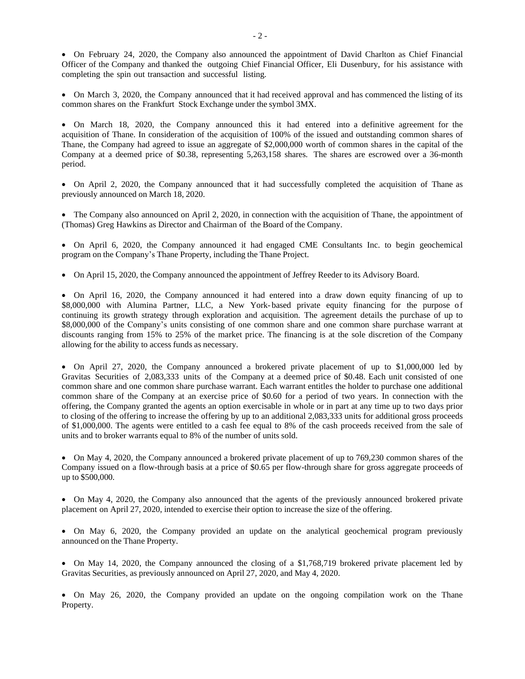• On February 24, 2020, the Company also announced the appointment of David Charlton as Chief Financial Officer of the Company and thanked the outgoing Chief Financial Officer, Eli Dusenbury, for his assistance with completing the spin out transaction and successful listing.

• On March 3, 2020, the Company announced that it had received approval and has commenced the listing of its common shares on the Frankfurt Stock Exchange under the symbol 3MX.

• On March 18, 2020, the Company announced this it had entered into a definitive agreement for the acquisition of Thane. In consideration of the acquisition of 100% of the issued and outstanding common shares of Thane, the Company had agreed to issue an aggregate of \$2,000,000 worth of common shares in the capital of the Company at a deemed price of \$0.38, representing 5,263,158 shares. The shares are escrowed over a 36-month period.

• On April 2, 2020, the Company announced that it had successfully completed the acquisition of Thane as previously announced on March 18, 2020.

• The Company also announced on April 2, 2020, in connection with the acquisition of Thane, the appointment of (Thomas) Greg Hawkins as Director and Chairman of the Board of the Company.

• On April 6, 2020, the Company announced it had engaged CME Consultants Inc. to begin geochemical program on the Company's Thane Property, including the Thane Project.

• On April 15, 2020, the Company announced the appointment of Jeffrey Reeder to its Advisory Board.

• On April 16, 2020, the Company announced it had entered into a draw down equity financing of up to \$8,000,000 with Alumina Partner, LLC, a New York-based private equity financing for the purpose of continuing its growth strategy through exploration and acquisition. The agreement details the purchase of up to \$8,000,000 of the Company's units consisting of one common share and one common share purchase warrant at discounts ranging from 15% to 25% of the market price. The financing is at the sole discretion of the Company allowing for the ability to access funds as necessary.

• On April 27, 2020, the Company announced a brokered private placement of up to \$1,000,000 led by Gravitas Securities of 2,083,333 units of the Company at a deemed price of \$0.48. Each unit consisted of one common share and one common share purchase warrant. Each warrant entitles the holder to purchase one additional common share of the Company at an exercise price of \$0.60 for a period of two years. In connection with the offering, the Company granted the agents an option exercisable in whole or in part at any time up to two days prior to closing of the offering to increase the offering by up to an additional 2,083,333 units for additional gross proceeds of \$1,000,000. The agents were entitled to a cash fee equal to 8% of the cash proceeds received from the sale of units and to broker warrants equal to 8% of the number of units sold.

• On May 4, 2020, the Company announced a brokered private placement of up to 769,230 common shares of the Company issued on a flow-through basis at a price of \$0.65 per flow-through share for gross aggregate proceeds of up to \$500,000.

• On May 4, 2020, the Company also announced that the agents of the previously announced brokered private placement on April 27, 2020, intended to exercise their option to increase the size of the offering.

• On May 6, 2020, the Company provided an update on the analytical geochemical program previously announced on the Thane Property.

• On May 14, 2020, the Company announced the closing of a \$1,768,719 brokered private placement led by Gravitas Securities, as previously announced on April 27, 2020, and May 4, 2020.

• On May 26, 2020, the Company provided an update on the ongoing compilation work on the Thane Property.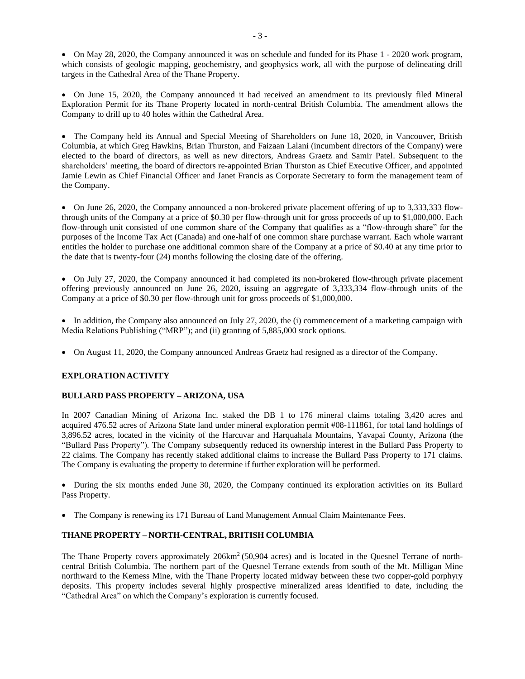• On May 28, 2020, the Company announced it was on schedule and funded for its Phase 1 - 2020 work program, which consists of geologic mapping, geochemistry, and geophysics work, all with the purpose of delineating drill targets in the Cathedral Area of the Thane Property.

• On June 15, 2020, the Company announced it had received an amendment to its previously filed Mineral Exploration Permit for its Thane Property located in north-central British Columbia. The amendment allows the Company to drill up to 40 holes within the Cathedral Area.

• The Company held its Annual and Special Meeting of Shareholders on June 18, 2020, in Vancouver, British Columbia, at which Greg Hawkins, Brian Thurston, and Faizaan Lalani (incumbent directors of the Company) were elected to the board of directors, as well as new directors, Andreas Graetz and Samir Patel. Subsequent to the shareholders' meeting, the board of directors re-appointed Brian Thurston as Chief Executive Officer, and appointed Jamie Lewin as Chief Financial Officer and Janet Francis as Corporate Secretary to form the management team of the Company.

• On June 26, 2020, the Company announced a non-brokered private placement offering of up to 3,333,333 flowthrough units of the Company at a price of \$0.30 per flow-through unit for gross proceeds of up to \$1,000,000. Each flow-through unit consisted of one common share of the Company that qualifies as a "flow-through share" for the purposes of the Income Tax Act (Canada) and one-half of one common share purchase warrant. Each whole warrant entitles the holder to purchase one additional common share of the Company at a price of \$0.40 at any time prior to the date that is twenty-four (24) months following the closing date of the offering.

• On July 27, 2020, the Company announced it had completed its non-brokered flow-through private placement offering previously announced on June 26, 2020, issuing an aggregate of 3,333,334 flow-through units of the Company at a price of \$0.30 per flow-through unit for gross proceeds of \$1,000,000.

• In addition, the Company also announced on July 27, 2020, the (i) commencement of a marketing campaign with Media Relations Publishing ("MRP"); and (ii) granting of 5,885,000 stock options.

• On August 11, 2020, the Company announced Andreas Graetz had resigned as a director of the Company.

# **EXPLORATION ACTIVITY**

# **BULLARD PASS PROPERTY – ARIZONA, USA**

In 2007 Canadian Mining of Arizona Inc. staked the DB 1 to 176 mineral claims totaling 3,420 acres and acquired 476.52 acres of Arizona State land under mineral exploration permit #08-111861, for total land holdings of 3,896.52 acres, located in the vicinity of the Harcuvar and Harquahala Mountains, Yavapai County, Arizona (the "Bullard Pass Property"). The Company subsequently reduced its ownership interest in the Bullard Pass Property to 22 claims. The Company has recently staked additional claims to increase the Bullard Pass Property to 171 claims. The Company is evaluating the property to determine if further exploration will be performed.

• During the six months ended June 30, 2020, the Company continued its exploration activities on its Bullard Pass Property.

• The Company is renewing its 171 Bureau of Land Management Annual Claim Maintenance Fees.

# **THANE PROPERTY – NORTH-CENTRAL, BRITISH COLUMBIA**

The Thane Property covers approximately 206km<sup>2</sup> (50,904 acres) and is located in the Quesnel Terrane of northcentral British Columbia. The northern part of the Quesnel Terrane extends from south of the Mt. Milligan Mine northward to the Kemess Mine, with the Thane Property located midway between these two copper-gold porphyry deposits. This property includes several highly prospective mineralized areas identified to date, including the "Cathedral Area" on which the Company's exploration is currently focused.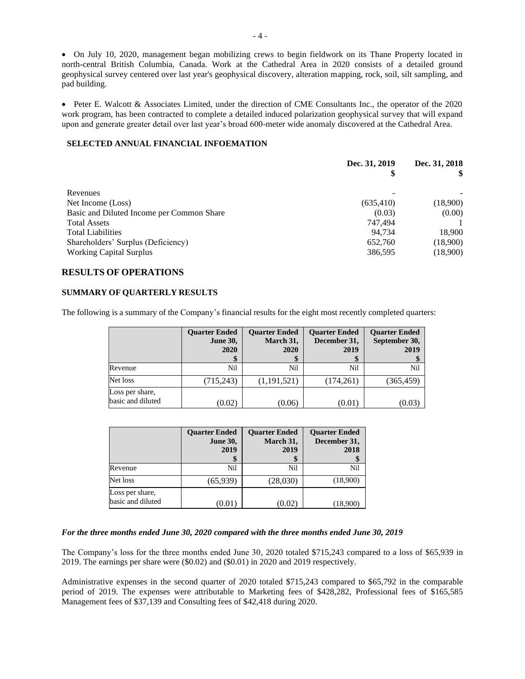• On July 10, 2020, management began mobilizing crews to begin fieldwork on its Thane Property located in north-central British Columbia, Canada. Work at the Cathedral Area in 2020 consists of a detailed ground geophysical survey centered over last year's geophysical discovery, alteration mapping, rock, soil, silt sampling, and pad building.

• Peter E. Walcott & Associates Limited, under the direction of CME Consultants Inc., the operator of the 2020 work program, has been contracted to complete a detailed induced polarization geophysical survey that will expand upon and generate greater detail over last year's broad 600-meter wide anomaly discovered at the Cathedral Area.

## **SELECTED ANNUAL FINANCIAL INFOEMATION**

|                                           | Dec. 31, 2019<br>\$ | Dec. 31, 2018 |  |
|-------------------------------------------|---------------------|---------------|--|
|                                           |                     |               |  |
| Revenues                                  |                     |               |  |
| Net Income (Loss)                         | (635, 410)          | (18,900)      |  |
| Basic and Diluted Income per Common Share | (0.03)              | (0.00)        |  |
| <b>Total Assets</b>                       | 747.494             |               |  |
| <b>Total Liabilities</b>                  | 94.734              | 18,900        |  |
| Shareholders' Surplus (Deficiency)        | 652,760             | (18,900)      |  |
| <b>Working Capital Surplus</b>            | 386,595             | (18,900)      |  |

# **RESULTS OF OPERATIONS**

### **SUMMARY OF QUARTERLY RESULTS**

The following is a summary of the Company's financial results for the eight most recently completed quarters:

|                                      | <b>Quarter Ended</b><br><b>June 30,</b><br>2020 | <b>Ouarter Ended</b><br>March 31,<br>2020 | <b>Ouarter Ended</b><br>December 31,<br>2019 | <b>Ouarter Ended</b><br>September 30,<br>2019 |
|--------------------------------------|-------------------------------------------------|-------------------------------------------|----------------------------------------------|-----------------------------------------------|
| Revenue                              | Nil                                             | Nil                                       | Nil                                          | Nil                                           |
| Net loss                             | (715, 243)                                      | (1,191,521)                               | (174,261)                                    | (365, 459)                                    |
| Loss per share,<br>basic and diluted | (0.02)                                          | (0.06)                                    | (0.01)                                       | (0.03                                         |

|                                      | <b>Ouarter Ended</b><br><b>June 30,</b><br>2019 | <b>Ouarter Ended</b><br>March 31,<br>2019 | <b>Ouarter Ended</b><br>December 31,<br>2018 |
|--------------------------------------|-------------------------------------------------|-------------------------------------------|----------------------------------------------|
| Revenue                              | Nil                                             | Nil                                       | Nil                                          |
| Net loss                             | (65,939)                                        | (28,030)                                  | (18,900)                                     |
| Loss per share,<br>basic and diluted | (0.01                                           | (0.02)                                    | (18,900)                                     |

# *For the three months ended June 30, 2020 compared with the three months ended June 30, 2019*

The Company's loss for the three months ended June 30, 2020 totaled \$715,243 compared to a loss of \$65,939 in 2019. The earnings per share were (\$0.02) and (\$0.01) in 2020 and 2019 respectively.

Administrative expenses in the second quarter of 2020 totaled \$715,243 compared to \$65,792 in the comparable period of 2019. The expenses were attributable to Marketing fees of \$428,282, Professional fees of \$165,585 Management fees of \$37,139 and Consulting fees of \$42,418 during 2020.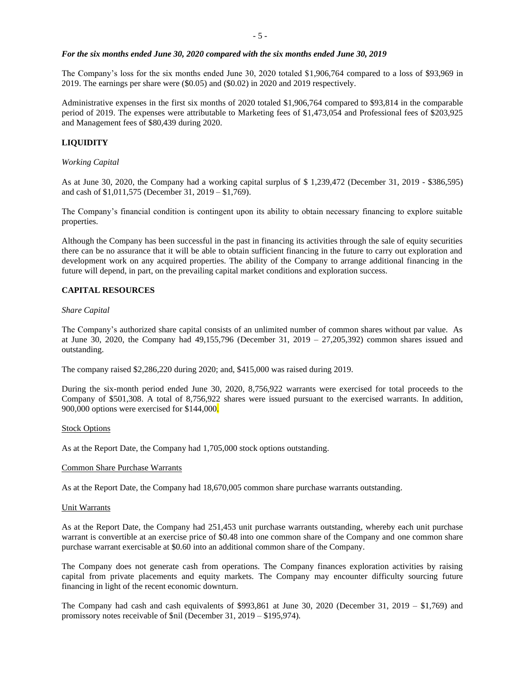#### *For the six months ended June 30, 2020 compared with the six months ended June 30, 2019*

The Company's loss for the six months ended June 30, 2020 totaled \$1,906,764 compared to a loss of \$93,969 in 2019. The earnings per share were (\$0.05) and (\$0.02) in 2020 and 2019 respectively.

Administrative expenses in the first six months of 2020 totaled \$1,906,764 compared to \$93,814 in the comparable period of 2019. The expenses were attributable to Marketing fees of \$1,473,054 and Professional fees of \$203,925 and Management fees of \$80,439 during 2020.

## **LIQUIDITY**

#### *Working Capital*

As at June 30, 2020, the Company had a working capital surplus of \$ 1,239,472 (December 31, 2019 - \$386,595) and cash of \$1,011,575 (December 31, 2019 – \$1,769).

The Company's financial condition is contingent upon its ability to obtain necessary financing to explore suitable properties.

Although the Company has been successful in the past in financing its activities through the sale of equity securities there can be no assurance that it will be able to obtain sufficient financing in the future to carry out exploration and development work on any acquired properties. The ability of the Company to arrange additional financing in the future will depend, in part, on the prevailing capital market conditions and exploration success.

### **CAPITAL RESOURCES**

#### *Share Capital*

The Company's authorized share capital consists of an unlimited number of common shares without par value. As at June 30, 2020, the Company had 49,155,796 (December 31, 2019 – 27,205,392) common shares issued and outstanding.

The company raised \$2,286,220 during 2020; and, \$415,000 was raised during 2019.

During the six-month period ended June 30, 2020, 8,756,922 warrants were exercised for total proceeds to the Company of \$501,308. A total of 8,756,922 shares were issued pursuant to the exercised warrants. In addition, 900,000 options were exercised for \$144,000.

#### **Stock Options**

As at the Report Date, the Company had 1,705,000 stock options outstanding.

#### Common Share Purchase Warrants

As at the Report Date, the Company had 18,670,005 common share purchase warrants outstanding.

#### Unit Warrants

As at the Report Date, the Company had 251,453 unit purchase warrants outstanding, whereby each unit purchase warrant is convertible at an exercise price of \$0.48 into one common share of the Company and one common share purchase warrant exercisable at \$0.60 into an additional common share of the Company.

The Company does not generate cash from operations. The Company finances exploration activities by raising capital from private placements and equity markets. The Company may encounter difficulty sourcing future financing in light of the recent economic downturn.

The Company had cash and cash equivalents of  $$993,861$  at June 30, 2020 (December 31, 2019 – \$1,769) and promissory notes receivable of \$nil (December 31, 2019 – \$195,974).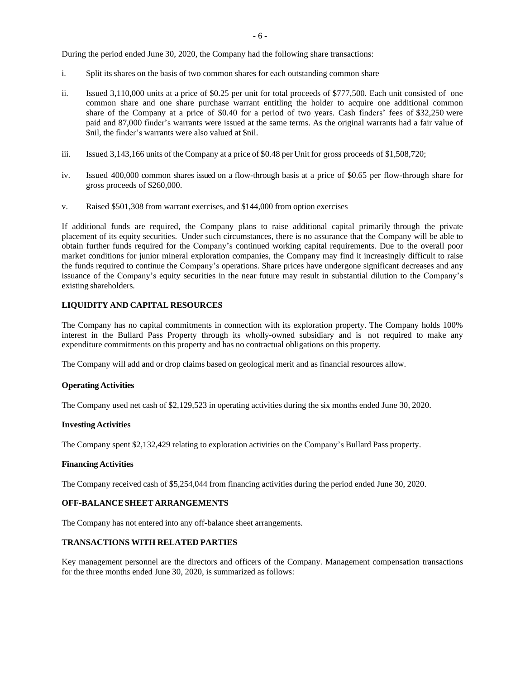During the period ended June 30, 2020, the Company had the following share transactions:

- i. Split its shares on the basis of two common shares for each outstanding common share
- ii. Issued 3,110,000 units at a price of \$0.25 per unit for total proceeds of \$777,500. Each unit consisted of one common share and one share purchase warrant entitling the holder to acquire one additional common share of the Company at a price of \$0.40 for a period of two years. Cash finders' fees of \$32,250 were paid and 87,000 finder's warrants were issued at the same terms. As the original warrants had a fair value of \$nil, the finder's warrants were also valued at \$nil.
- iii. Issued 3,143,166 units of the Company at a price of \$0.48 per Unit for gross proceeds of \$1,508,720;
- iv. Issued 400,000 common shares issued on a flow-through basis at a price of \$0.65 per flow-through share for gross proceeds of \$260,000.
- v. Raised \$501,308 from warrant exercises, and \$144,000 from option exercises

If additional funds are required, the Company plans to raise additional capital primarily through the private placement of its equity securities. Under such circumstances, there is no assurance that the Company will be able to obtain further funds required for the Company's continued working capital requirements. Due to the overall poor market conditions for junior mineral exploration companies, the Company may find it increasingly difficult to raise the funds required to continue the Company's operations. Share prices have undergone significant decreases and any issuance of the Company's equity securities in the near future may result in substantial dilution to the Company's existing shareholders.

### **LIQUIDITY AND CAPITAL RESOURCES**

The Company has no capital commitments in connection with its exploration property. The Company holds 100% interest in the Bullard Pass Property through its wholly-owned subsidiary and is not required to make any expenditure commitments on this property and has no contractual obligations on this property.

The Company will add and or drop claims based on geological merit and as financial resources allow.

#### **Operating Activities**

The Company used net cash of \$2,129,523 in operating activities during the six months ended June 30, 2020.

#### **Investing Activities**

The Company spent \$2,132,429 relating to exploration activities on the Company's Bullard Pass property.

#### **Financing Activities**

The Company received cash of \$5,254,044 from financing activities during the period ended June 30, 2020.

### **OFF-BALANCESHEET ARRANGEMENTS**

The Company has not entered into any off-balance sheet arrangements.

## **TRANSACTIONS WITH RELATED PARTIES**

Key management personnel are the directors and officers of the Company. Management compensation transactions for the three months ended June 30, 2020, is summarized as follows: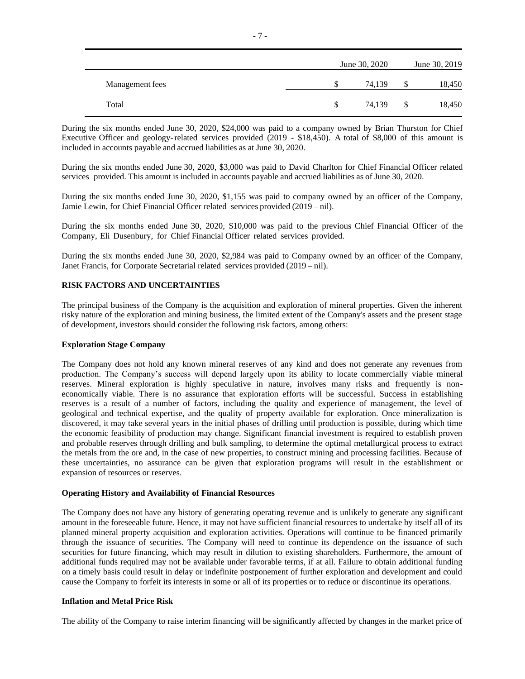|                 |          | June 30, 2020 |               | June 30, 2019 |
|-----------------|----------|---------------|---------------|---------------|
| Management fees | S        | 74.139        | S             | 18,450        |
| Total           | <b>S</b> | 74,139        | <sup>\$</sup> | 18,450        |

During the six months ended June 30, 2020, \$24,000 was paid to a company owned by Brian Thurston for Chief Executive Officer and geology-related services provided (2019 - \$18,450). A total of \$8,000 of this amount is included in accounts payable and accrued liabilities as at June 30, 2020.

During the six months ended June 30, 2020, \$3,000 was paid to David Charlton for Chief Financial Officer related services provided. This amount is included in accounts payable and accrued liabilities as of June 30, 2020.

During the six months ended June 30, 2020, \$1,155 was paid to company owned by an officer of the Company, Jamie Lewin, for Chief Financial Officer related services provided (2019 – nil).

During the six months ended June 30, 2020, \$10,000 was paid to the previous Chief Financial Officer of the Company, Eli Dusenbury, for Chief Financial Officer related services provided.

During the six months ended June 30, 2020, \$2,984 was paid to Company owned by an officer of the Company, Janet Francis, for Corporate Secretarial related services provided (2019 – nil).

### **RISK FACTORS AND UNCERTAINTIES**

The principal business of the Company is the acquisition and exploration of mineral properties. Given the inherent risky nature of the exploration and mining business, the limited extent of the Company's assets and the present stage of development, investors should consider the following risk factors, among others:

### **Exploration Stage Company**

The Company does not hold any known mineral reserves of any kind and does not generate any revenues from production. The Company's success will depend largely upon its ability to locate commercially viable mineral reserves. Mineral exploration is highly speculative in nature, involves many risks and frequently is noneconomically viable. There is no assurance that exploration efforts will be successful. Success in establishing reserves is a result of a number of factors, including the quality and experience of management, the level of geological and technical expertise, and the quality of property available for exploration. Once mineralization is discovered, it may take several years in the initial phases of drilling until production is possible, during which time the economic feasibility of production may change. Significant financial investment is required to establish proven and probable reserves through drilling and bulk sampling, to determine the optimal metallurgical process to extract the metals from the ore and, in the case of new properties, to construct mining and processing facilities. Because of these uncertainties, no assurance can be given that exploration programs will result in the establishment or expansion of resources or reserves.

#### **Operating History and Availability of Financial Resources**

The Company does not have any history of generating operating revenue and is unlikely to generate any significant amount in the foreseeable future. Hence, it may not have sufficient financial resources to undertake by itself all of its planned mineral property acquisition and exploration activities. Operations will continue to be financed primarily through the issuance of securities. The Company will need to continue its dependence on the issuance of such securities for future financing, which may result in dilution to existing shareholders. Furthermore, the amount of additional funds required may not be available under favorable terms, if at all. Failure to obtain additional funding on a timely basis could result in delay or indefinite postponement of further exploration and development and could cause the Company to forfeit its interests in some or all of its properties or to reduce or discontinue its operations.

#### **Inflation and Metal Price Risk**

The ability of the Company to raise interim financing will be significantly affected by changes in the market price of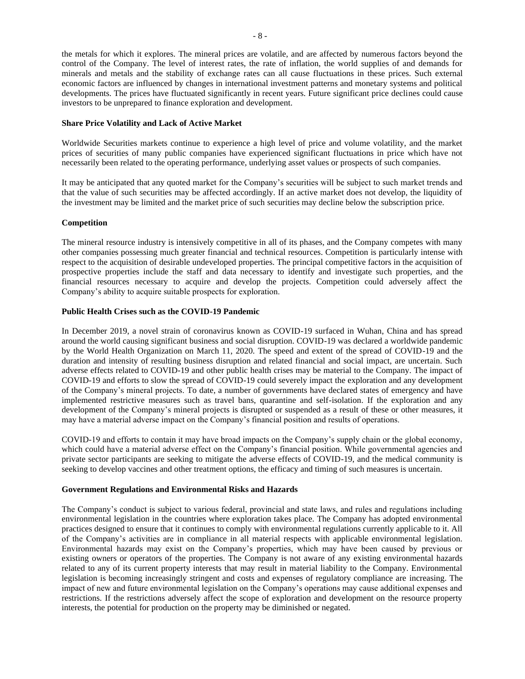the metals for which it explores. The mineral prices are volatile, and are affected by numerous factors beyond the control of the Company. The level of interest rates, the rate of inflation, the world supplies of and demands for minerals and metals and the stability of exchange rates can all cause fluctuations in these prices. Such external economic factors are influenced by changes in international investment patterns and monetary systems and political developments. The prices have fluctuated significantly in recent years. Future significant price declines could cause investors to be unprepared to finance exploration and development.

## **Share Price Volatility and Lack of Active Market**

Worldwide Securities markets continue to experience a high level of price and volume volatility, and the market prices of securities of many public companies have experienced significant fluctuations in price which have not necessarily been related to the operating performance, underlying asset values or prospects of such companies.

It may be anticipated that any quoted market for the Company's securities will be subject to such market trends and that the value of such securities may be affected accordingly. If an active market does not develop, the liquidity of the investment may be limited and the market price of such securities may decline below the subscription price.

### **Competition**

The mineral resource industry is intensively competitive in all of its phases, and the Company competes with many other companies possessing much greater financial and technical resources. Competition is particularly intense with respect to the acquisition of desirable undeveloped properties. The principal competitive factors in the acquisition of prospective properties include the staff and data necessary to identify and investigate such properties, and the financial resources necessary to acquire and develop the projects. Competition could adversely affect the Company's ability to acquire suitable prospects for exploration.

# **Public Health Crises such as the COVID-19 Pandemic**

In December 2019, a novel strain of coronavirus known as COVID-19 surfaced in Wuhan, China and has spread around the world causing significant business and social disruption. COVID-19 was declared a worldwide pandemic by the World Health Organization on March 11, 2020. The speed and extent of the spread of COVID-19 and the duration and intensity of resulting business disruption and related financial and social impact, are uncertain. Such adverse effects related to COVID-19 and other public health crises may be material to the Company. The impact of COVID-19 and efforts to slow the spread of COVID-19 could severely impact the exploration and any development of the Company's mineral projects. To date, a number of governments have declared states of emergency and have implemented restrictive measures such as travel bans, quarantine and self-isolation. If the exploration and any development of the Company's mineral projects is disrupted or suspended as a result of these or other measures, it may have a material adverse impact on the Company's financial position and results of operations.

COVID-19 and efforts to contain it may have broad impacts on the Company's supply chain or the global economy, which could have a material adverse effect on the Company's financial position. While governmental agencies and private sector participants are seeking to mitigate the adverse effects of COVID-19, and the medical community is seeking to develop vaccines and other treatment options, the efficacy and timing of such measures is uncertain.

### **Government Regulations and Environmental Risks and Hazards**

The Company's conduct is subject to various federal, provincial and state laws, and rules and regulations including environmental legislation in the countries where exploration takes place. The Company has adopted environmental practices designed to ensure that it continues to comply with environmental regulations currently applicable to it. All of the Company's activities are in compliance in all material respects with applicable environmental legislation. Environmental hazards may exist on the Company's properties, which may have been caused by previous or existing owners or operators of the properties. The Company is not aware of any existing environmental hazards related to any of its current property interests that may result in material liability to the Company. Environmental legislation is becoming increasingly stringent and costs and expenses of regulatory compliance are increasing. The impact of new and future environmental legislation on the Company's operations may cause additional expenses and restrictions. If the restrictions adversely affect the scope of exploration and development on the resource property interests, the potential for production on the property may be diminished or negated.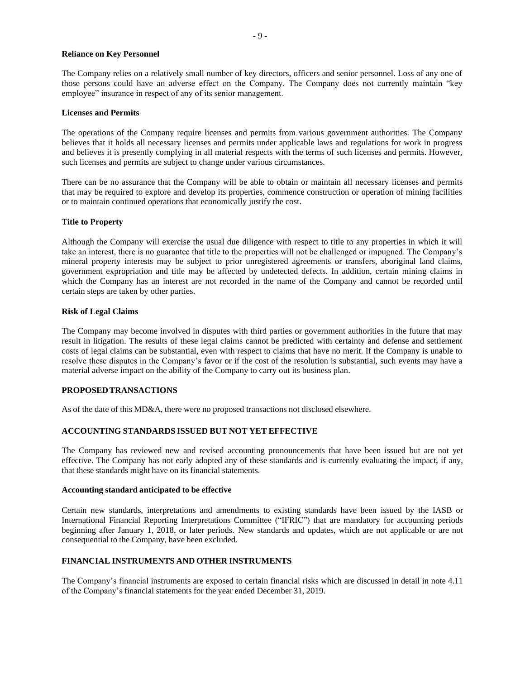### **Reliance on Key Personnel**

The Company relies on a relatively small number of key directors, officers and senior personnel. Loss of any one of those persons could have an adverse effect on the Company. The Company does not currently maintain "key employee" insurance in respect of any of its senior management.

### **Licenses and Permits**

The operations of the Company require licenses and permits from various government authorities. The Company believes that it holds all necessary licenses and permits under applicable laws and regulations for work in progress and believes it is presently complying in all material respects with the terms of such licenses and permits. However, such licenses and permits are subject to change under various circumstances.

There can be no assurance that the Company will be able to obtain or maintain all necessary licenses and permits that may be required to explore and develop its properties, commence construction or operation of mining facilities or to maintain continued operations that economically justify the cost.

# **Title to Property**

Although the Company will exercise the usual due diligence with respect to title to any properties in which it will take an interest, there is no guarantee that title to the properties will not be challenged or impugned. The Company's mineral property interests may be subject to prior unregistered agreements or transfers, aboriginal land claims, government expropriation and title may be affected by undetected defects. In addition, certain mining claims in which the Company has an interest are not recorded in the name of the Company and cannot be recorded until certain steps are taken by other parties.

### **Risk of Legal Claims**

The Company may become involved in disputes with third parties or government authorities in the future that may result in litigation. The results of these legal claims cannot be predicted with certainty and defense and settlement costs of legal claims can be substantial, even with respect to claims that have no merit. If the Company is unable to resolve these disputes in the Company's favor or if the cost of the resolution is substantial, such events may have a material adverse impact on the ability of the Company to carry out its business plan.

### **PROPOSEDTRANSACTIONS**

As of the date of this MD&A, there were no proposed transactions not disclosed elsewhere.

# **ACCOUNTING STANDARDS ISSUED BUT NOT YET EFFECTIVE**

The Company has reviewed new and revised accounting pronouncements that have been issued but are not yet effective. The Company has not early adopted any of these standards and is currently evaluating the impact, if any, that these standards might have on its financial statements.

### **Accounting standard anticipated to be effective**

Certain new standards, interpretations and amendments to existing standards have been issued by the IASB or International Financial Reporting Interpretations Committee ("IFRIC") that are mandatory for accounting periods beginning after January 1, 2018, or later periods. New standards and updates, which are not applicable or are not consequential to the Company, have been excluded.

## **FINANCIAL INSTRUMENTS AND OTHER INSTRUMENTS**

The Company's financial instruments are exposed to certain financial risks which are discussed in detail in note 4.11 of the Company's financial statements for the year ended December 31, 2019.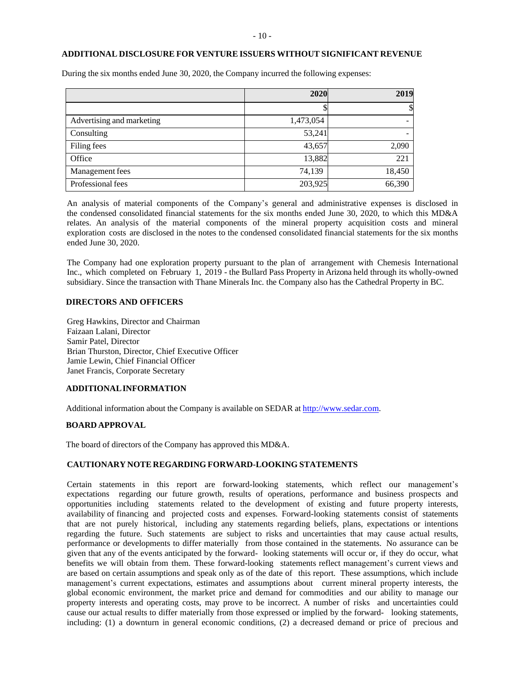#### **ADDITIONAL DISCLOSURE FOR VENTURE ISSUERS WITHOUT SIGNIFICANT REVENUE**

|                           | 2020      | 2019   |
|---------------------------|-----------|--------|
|                           |           | \$     |
| Advertising and marketing | 1,473,054 |        |
| Consulting                | 53,241    |        |
| Filing fees               | 43,657    | 2,090  |
| Office                    | 13,882    | 221    |
| Management fees           | 74,139    | 18,450 |
| Professional fees         | 203,925   | 66,390 |

During the six months ended June 30, 2020, the Company incurred the following expenses:

An analysis of material components of the Company's general and administrative expenses is disclosed in the condensed consolidated financial statements for the six months ended June 30, 2020, to which this MD&A relates. An analysis of the material components of the mineral property acquisition costs and mineral exploration costs are disclosed in the notes to the condensed consolidated financial statements for the six months ended June 30, 2020.

The Company had one exploration property pursuant to the plan of arrangement with Chemesis International Inc., which completed on February 1, 2019 - the Bullard Pass Property in Arizona held through its wholly-owned subsidiary. Since the transaction with Thane Minerals Inc. the Company also has the Cathedral Property in BC.

# **DIRECTORS AND OFFICERS**

Greg Hawkins, Director and Chairman Faizaan Lalani, Director Samir Patel, Director Brian Thurston, Director, Chief Executive Officer Jamie Lewin, Chief Financial Officer Janet Francis, Corporate Secretary

#### **ADDITIONALINFORMATION**

Additional information about the Company is available on SEDAR at [http://www.sedar.com.](http://www.sedar.com/)

#### **BOARD APPROVAL**

The board of directors of the Company has approved this MD&A.

# **CAUTIONARY NOTE REGARDING FORWARD-LOOKING STATEMENTS**

Certain statements in this report are forward-looking statements, which reflect our management's expectations regarding our future growth, results of operations, performance and business prospects and opportunities including statements related to the development of existing and future property interests, availability of financing and projected costs and expenses. Forward-looking statements consist of statements that are not purely historical, including any statements regarding beliefs, plans, expectations or intentions regarding the future. Such statements are subject to risks and uncertainties that may cause actual results, performance or developments to differ materially from those contained in the statements. No assurance can be given that any of the events anticipated by the forward- looking statements will occur or, if they do occur, what benefits we will obtain from them. These forward-looking statements reflect management's current views and are based on certain assumptions and speak only as of the date of this report. These assumptions, which include management's current expectations, estimates and assumptions about current mineral property interests, the global economic environment, the market price and demand for commodities and our ability to manage our property interests and operating costs, may prove to be incorrect. A number of risks and uncertainties could cause our actual results to differ materially from those expressed or implied by the forward- looking statements, including: (1) a downturn in general economic conditions, (2) a decreased demand or price of precious and